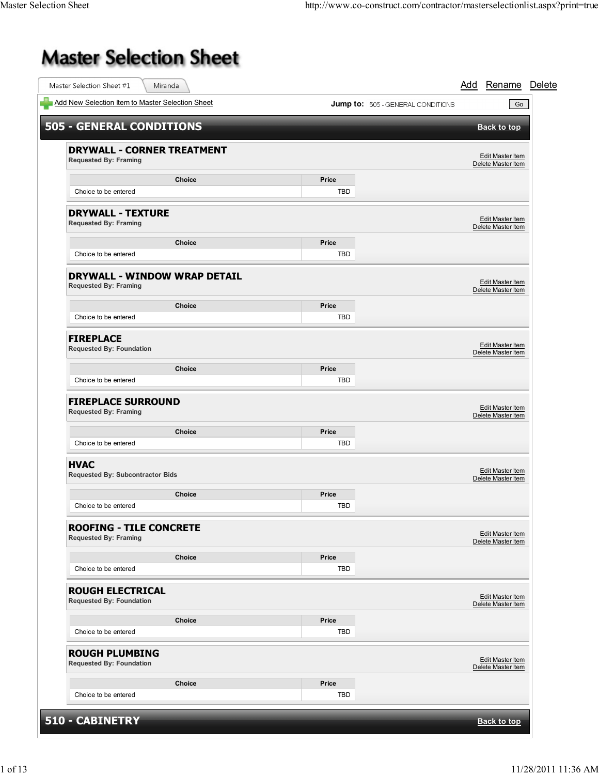## **Master Selection Sheet**

| Add New Selection Item to Master Selection Sheet                    |               |              | <b>Jump to:</b> 505 - GENERAL CONDITIONS | Go                                            |
|---------------------------------------------------------------------|---------------|--------------|------------------------------------------|-----------------------------------------------|
| <b>505 - GENERAL CONDITIONS</b>                                     |               |              |                                          | <b>Back to top</b>                            |
| <b>DRYWALL - CORNER TREATMENT</b><br><b>Requested By: Framing</b>   |               |              |                                          | Edit Master Item<br>Delete Master Item        |
|                                                                     | <b>Choice</b> | Price        |                                          |                                               |
| Choice to be entered                                                |               | TBD          |                                          |                                               |
| <b>DRYWALL - TEXTURE</b><br><b>Requested By: Framing</b>            |               |              |                                          | Edit Master Item<br>Delete Master Item        |
|                                                                     | <b>Choice</b> | Price        |                                          |                                               |
| Choice to be entered                                                |               | <b>TBD</b>   |                                          |                                               |
| <b>DRYWALL - WINDOW WRAP DETAIL</b><br><b>Requested By: Framing</b> |               |              |                                          | Edit Master Item<br>Delete Master Item        |
|                                                                     | Choice        | Price        |                                          |                                               |
| Choice to be entered                                                |               | TBD          |                                          |                                               |
| <b>FIREPLACE</b><br><b>Requested By: Foundation</b>                 |               |              |                                          | Edit Master Item<br>Delete Master Item        |
|                                                                     | <b>Choice</b> | Price        |                                          |                                               |
| Choice to be entered                                                |               | TBD          |                                          |                                               |
| <b>FIREPLACE SURROUND</b><br><b>Requested By: Framing</b>           |               |              |                                          | Edit Master Item<br>Delete Master Item        |
| Choice to be entered                                                | <b>Choice</b> | Price<br>TBD |                                          |                                               |
|                                                                     |               |              |                                          |                                               |
| <b>HVAC</b><br><b>Requested By: Subcontractor Bids</b>              |               |              |                                          | Edit Master Item<br>Delete Master Item        |
|                                                                     | <b>Choice</b> | Price        |                                          |                                               |
| Choice to be entered                                                |               | TBD          |                                          |                                               |
| <b>ROOFING - TILE CONCRETE</b><br><b>Requested By: Framing</b>      |               |              |                                          | Edit Master Item<br>Delete Master Item        |
|                                                                     | Choice        | Price        |                                          |                                               |
| Choice to be entered                                                |               | TBD          |                                          |                                               |
| <b>ROUGH ELECTRICAL</b><br><b>Requested By: Foundation</b>          |               |              |                                          | Edit Master Item<br>Delete Master Item        |
|                                                                     | Choice        | Price        |                                          |                                               |
| Choice to be entered                                                |               | TBD          |                                          |                                               |
| <b>ROUGH PLUMBING</b><br><b>Requested By: Foundation</b>            |               |              |                                          | <b>Edit Master Item</b><br>Delete Master Item |
|                                                                     | <b>Choice</b> | Price        |                                          |                                               |
| Choice to be entered                                                |               | <b>TBD</b>   |                                          |                                               |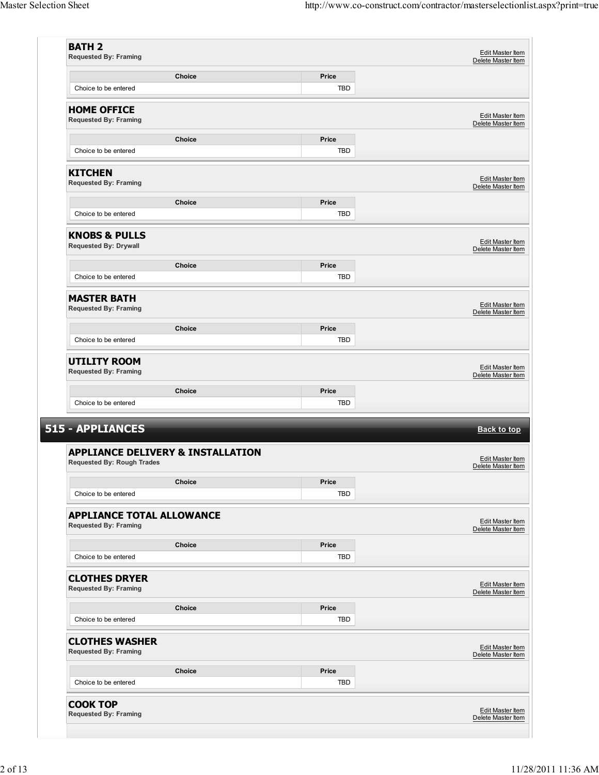|                                                                                                                                                                                                                                                                                                                    |               |              | Edit Master Item<br>Delete Master Item                                                                                                                                                     |
|--------------------------------------------------------------------------------------------------------------------------------------------------------------------------------------------------------------------------------------------------------------------------------------------------------------------|---------------|--------------|--------------------------------------------------------------------------------------------------------------------------------------------------------------------------------------------|
|                                                                                                                                                                                                                                                                                                                    | Choice        | Price        |                                                                                                                                                                                            |
| Choice to be entered                                                                                                                                                                                                                                                                                               |               | <b>TBD</b>   |                                                                                                                                                                                            |
| <b>HOME OFFICE</b>                                                                                                                                                                                                                                                                                                 |               |              | Edit Master Item                                                                                                                                                                           |
| <b>Requested By: Framing</b>                                                                                                                                                                                                                                                                                       |               |              | Delete Master Item                                                                                                                                                                         |
|                                                                                                                                                                                                                                                                                                                    | Choice        | Price        |                                                                                                                                                                                            |
| Choice to be entered                                                                                                                                                                                                                                                                                               |               | <b>TBD</b>   |                                                                                                                                                                                            |
| <b>KITCHEN</b><br><b>Requested By: Framing</b>                                                                                                                                                                                                                                                                     |               |              | Edit Master Item<br>Delete Master Item                                                                                                                                                     |
|                                                                                                                                                                                                                                                                                                                    | <b>Choice</b> | Price        |                                                                                                                                                                                            |
| Choice to be entered                                                                                                                                                                                                                                                                                               |               | TBD          |                                                                                                                                                                                            |
| <b>KNOBS &amp; PULLS</b><br><b>Requested By: Drywall</b>                                                                                                                                                                                                                                                           |               |              | Edit Master Item<br>Delete Master Item                                                                                                                                                     |
|                                                                                                                                                                                                                                                                                                                    | <b>Choice</b> | <b>Price</b> |                                                                                                                                                                                            |
| Choice to be entered                                                                                                                                                                                                                                                                                               |               | <b>TBD</b>   |                                                                                                                                                                                            |
| <b>MASTER BATH</b><br><b>Requested By: Framing</b>                                                                                                                                                                                                                                                                 |               |              | Edit Master Item<br>Delete Master Item                                                                                                                                                     |
|                                                                                                                                                                                                                                                                                                                    | <b>Choice</b> | Price        |                                                                                                                                                                                            |
| Choice to be entered                                                                                                                                                                                                                                                                                               |               | TBD          |                                                                                                                                                                                            |
| <b>UTILITY ROOM</b><br><b>Requested By: Framing</b>                                                                                                                                                                                                                                                                |               |              | Edit Master Item<br>Delete Master Item                                                                                                                                                     |
|                                                                                                                                                                                                                                                                                                                    | <b>Choice</b> | Price        |                                                                                                                                                                                            |
| Choice to be entered                                                                                                                                                                                                                                                                                               |               | TBD          |                                                                                                                                                                                            |
|                                                                                                                                                                                                                                                                                                                    |               |              |                                                                                                                                                                                            |
|                                                                                                                                                                                                                                                                                                                    |               |              |                                                                                                                                                                                            |
|                                                                                                                                                                                                                                                                                                                    |               |              |                                                                                                                                                                                            |
|                                                                                                                                                                                                                                                                                                                    |               |              |                                                                                                                                                                                            |
|                                                                                                                                                                                                                                                                                                                    | <b>Choice</b> | Price        |                                                                                                                                                                                            |
| Choice to be entered                                                                                                                                                                                                                                                                                               |               | <b>TBD</b>   |                                                                                                                                                                                            |
|                                                                                                                                                                                                                                                                                                                    |               |              |                                                                                                                                                                                            |
|                                                                                                                                                                                                                                                                                                                    | <b>Choice</b> | Price        |                                                                                                                                                                                            |
| Choice to be entered                                                                                                                                                                                                                                                                                               |               | <b>TBD</b>   |                                                                                                                                                                                            |
|                                                                                                                                                                                                                                                                                                                    |               |              |                                                                                                                                                                                            |
|                                                                                                                                                                                                                                                                                                                    | Choice        | Price        |                                                                                                                                                                                            |
| Choice to be entered                                                                                                                                                                                                                                                                                               |               | TBD          |                                                                                                                                                                                            |
|                                                                                                                                                                                                                                                                                                                    |               |              |                                                                                                                                                                                            |
|                                                                                                                                                                                                                                                                                                                    | Choice        | Price        |                                                                                                                                                                                            |
| 515 - APPLIANCES<br><b>APPLIANCE DELIVERY &amp; INSTALLATION</b><br><b>Requested By: Rough Trades</b><br><b>APPLIANCE TOTAL ALLOWANCE</b><br><b>Requested By: Framing</b><br><b>CLOTHES DRYER</b><br><b>Requested By: Framing</b><br><b>CLOTHES WASHER</b><br><b>Requested By: Framing</b><br>Choice to be entered |               | <b>TBD</b>   | <b>Back to top</b><br>Edit Master Item<br>Delete Master Item<br>Edit Master Item<br>Delete Master Item<br>Edit Master Item<br>Delete Master Item<br>Edit Master Item<br>Delete Master Item |
| <b>COOK TOP</b>                                                                                                                                                                                                                                                                                                    |               |              | Edit Master Item                                                                                                                                                                           |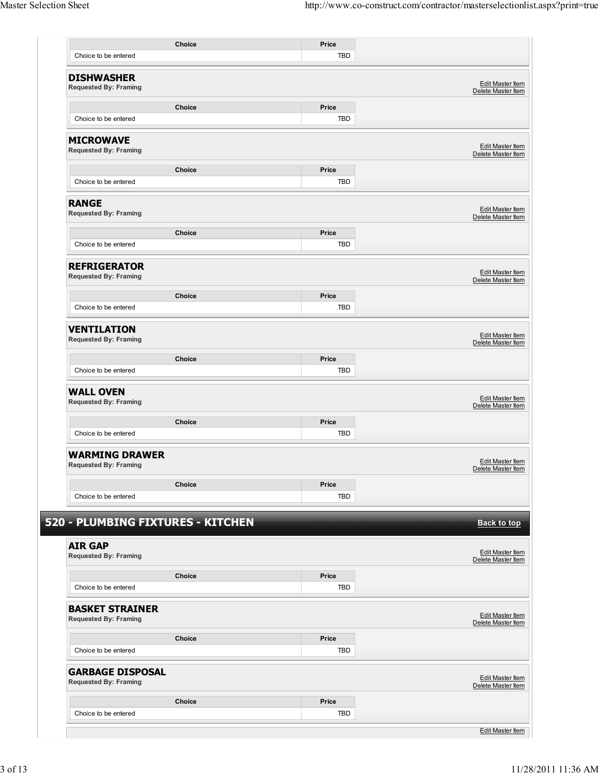|                                                         | Choice        | Price      |                                               |
|---------------------------------------------------------|---------------|------------|-----------------------------------------------|
| Choice to be entered                                    |               | <b>TBD</b> |                                               |
| <b>DISHWASHER</b><br><b>Requested By: Framing</b>       |               |            | Edit Master Item<br>Delete Master Item        |
|                                                         | Choice        | Price      |                                               |
| Choice to be entered                                    |               | TBD        |                                               |
| <b>MICROWAVE</b><br><b>Requested By: Framing</b>        |               |            | Edit Master Item<br>Delete Master Item        |
|                                                         | <b>Choice</b> | Price      |                                               |
| Choice to be entered                                    |               | <b>TBD</b> |                                               |
| <b>RANGE</b><br><b>Requested By: Framing</b>            |               |            | <b>Edit Master Item</b><br>Delete Master Item |
|                                                         | Choice        | Price      |                                               |
| Choice to be entered                                    |               | TBD        |                                               |
| <b>REFRIGERATOR</b><br><b>Requested By: Framing</b>     |               |            | Edit Master Item<br>Delete Master Item        |
|                                                         | Choice        | Price      |                                               |
| Choice to be entered                                    |               | <b>TBD</b> |                                               |
| <b>VENTILATION</b><br><b>Requested By: Framing</b>      |               |            | <b>Edit Master Item</b><br>Delete Master Item |
|                                                         | <b>Choice</b> | Price      |                                               |
| Choice to be entered                                    |               | <b>TBD</b> |                                               |
| <b>WALL OVEN</b><br><b>Requested By: Framing</b>        |               |            | <b>Edit Master Item</b><br>Delete Master Item |
|                                                         | Choice        | Price      |                                               |
| Choice to be entered                                    |               | <b>TBD</b> |                                               |
| <b>WARMING DRAWER</b><br><b>Requested By: Framing</b>   |               |            | Edit Master Item<br>Delete Master Item        |
|                                                         | Choice        | Price      |                                               |
| Choice to be entered                                    |               | TBD        |                                               |
| 520 - PLUMBING FIXTURES - KITCHEN                       |               |            | <b>Back to top</b>                            |
| <b>AIR GAP</b><br><b>Requested By: Framing</b>          |               |            | Edit Master Item<br>Delete Master Item        |
|                                                         | <b>Choice</b> | Price      |                                               |
| Choice to be entered                                    |               | <b>TBD</b> |                                               |
| <b>BASKET STRAINER</b><br><b>Requested By: Framing</b>  |               |            | <b>Edit Master Item</b><br>Delete Master Item |
|                                                         |               |            |                                               |
|                                                         | <b>Choice</b> | Price      |                                               |
| Choice to be entered                                    |               | TBD        |                                               |
| <b>GARBAGE DISPOSAL</b><br><b>Requested By: Framing</b> |               |            |                                               |
|                                                         | Choice        | Price      | Edit Master Item<br>Delete Master Item        |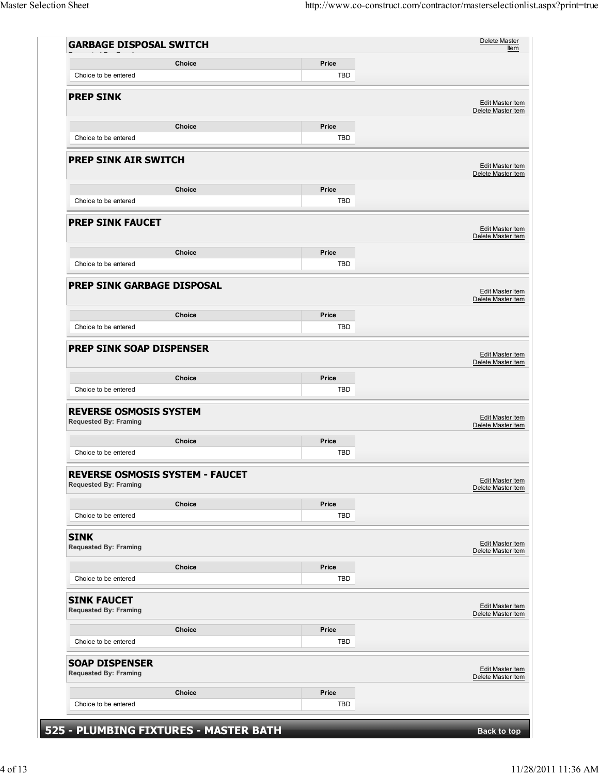| <b>GARBAGE DISPOSAL SWITCH</b>                                         |               |                     |                                               |
|------------------------------------------------------------------------|---------------|---------------------|-----------------------------------------------|
|                                                                        | Choice        | Price               |                                               |
| Choice to be entered                                                   |               | TBD                 |                                               |
| <b>PREP SINK</b>                                                       |               |                     |                                               |
|                                                                        |               |                     | <b>Edit Master Item</b><br>Delete Master Item |
|                                                                        | Choice        | Price               |                                               |
| Choice to be entered                                                   |               | TBD                 |                                               |
|                                                                        |               |                     |                                               |
| <b>PREP SINK AIR SWITCH</b>                                            |               |                     | Edit Master Item                              |
|                                                                        |               |                     | Delete Master Item                            |
|                                                                        | <b>Choice</b> | Price               |                                               |
| Choice to be entered                                                   |               | TBD                 |                                               |
| <b>PREP SINK FAUCET</b>                                                |               |                     | Edit Master Item                              |
|                                                                        |               |                     | Delete Master Item                            |
|                                                                        | Choice        | Price               |                                               |
| Choice to be entered                                                   |               | TBD                 |                                               |
|                                                                        |               |                     |                                               |
| <b>PREP SINK GARBAGE DISPOSAL</b>                                      |               |                     | Edit Master Item                              |
|                                                                        |               |                     | Delete Master Item                            |
|                                                                        | Choice        | Price               |                                               |
| Choice to be entered                                                   |               | TBD                 |                                               |
| <b>PREP SINK SOAP DISPENSER</b>                                        |               |                     | Edit Master Item<br>Delete Master Item        |
|                                                                        | Choice        | Price               |                                               |
| Choice to be entered                                                   |               | TBD                 |                                               |
| <b>REVERSE OSMOSIS SYSTEM</b><br><b>Requested By: Framing</b>          |               |                     | <b>Edit Master Item</b><br>Delete Master Item |
|                                                                        | Choice        | Price               |                                               |
| Choice to be entered                                                   |               | <b>TBD</b>          |                                               |
| <b>REVERSE OSMOSIS SYSTEM - FAUCET</b><br><b>Requested By: Framing</b> |               |                     | <b>Edit Master Item</b><br>Delete Master Item |
|                                                                        | <b>Choice</b> | Price               |                                               |
| Choice to be entered                                                   |               | TBD                 |                                               |
|                                                                        |               |                     |                                               |
| <b>SINK</b><br><b>Requested By: Framing</b>                            |               |                     | <b>Edit Master Item</b><br>Delete Master Item |
|                                                                        |               |                     |                                               |
| Choice to be entered                                                   | Choice        | Price<br><b>TBD</b> |                                               |
|                                                                        |               |                     |                                               |
| <b>SINK FAUCET</b><br><b>Requested By: Framing</b>                     |               |                     | <b>Edit Master Item</b><br>Delete Master Item |
|                                                                        | <b>Choice</b> | Price               |                                               |
| Choice to be entered                                                   |               | TBD                 |                                               |
| <b>SOAP DISPENSER</b><br><b>Requested By: Framing</b>                  |               |                     | Edit Master Item<br>Delete Master Item        |
|                                                                        | Choice        | Price               |                                               |
|                                                                        |               | TBD                 |                                               |
| Choice to be entered                                                   |               |                     |                                               |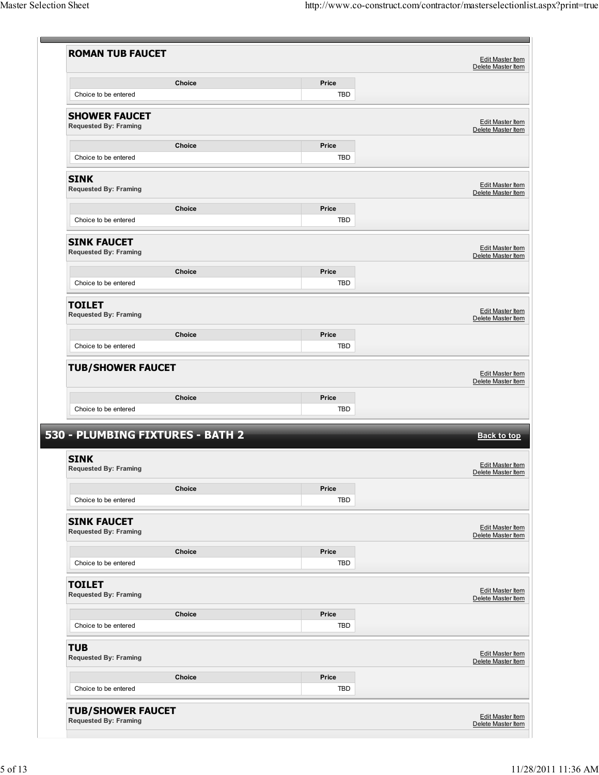|                                                      | Choice        | Price        |                                                                                                               |
|------------------------------------------------------|---------------|--------------|---------------------------------------------------------------------------------------------------------------|
| Choice to be entered                                 |               | <b>TBD</b>   |                                                                                                               |
| <b>SHOWER FAUCET</b><br><b>Requested By: Framing</b> |               |              | <b>Edit Master Item</b><br>Delete Master Item                                                                 |
|                                                      | Choice        | Price        |                                                                                                               |
| Choice to be entered                                 |               | <b>TBD</b>   |                                                                                                               |
| <b>SINK</b><br><b>Requested By: Framing</b>          |               |              | <b>Edit Master Item</b><br>Delete Master Item                                                                 |
|                                                      | <b>Choice</b> | Price        |                                                                                                               |
| Choice to be entered                                 |               | TBD          |                                                                                                               |
| <b>SINK FAUCET</b><br><b>Requested By: Framing</b>   |               |              | <b>Edit Master Item</b><br>Delete Master Item                                                                 |
|                                                      | Choice        | Price        |                                                                                                               |
| Choice to be entered                                 |               | <b>TBD</b>   |                                                                                                               |
| <b>TOILET</b><br><b>Requested By: Framing</b>        |               |              | <b>Edit Master Item</b><br>Delete Master Item                                                                 |
|                                                      | <b>Choice</b> | Price        |                                                                                                               |
| Choice to be entered                                 |               | <b>TBD</b>   |                                                                                                               |
| <b>TUB/SHOWER FAUCET</b>                             |               |              |                                                                                                               |
|                                                      | <b>Choice</b> | Price        |                                                                                                               |
| Choice to be entered                                 |               | TBD          |                                                                                                               |
| 530 - PLUMBING FIXTURES - BATH 2                     |               |              |                                                                                                               |
| <b>SINK</b><br><b>Requested By: Framing</b>          |               |              | Edit Master Item<br>Delete Master Item<br><b>Back to top</b><br><b>Edit Master Item</b><br>Delete Master Item |
|                                                      | Choice        | Price        |                                                                                                               |
| Choice to be entered                                 |               | <b>TBD</b>   |                                                                                                               |
| <b>SINK FAUCET</b><br><b>Requested By: Framing</b>   |               |              | Edit Master Item<br>Delete Master Item                                                                        |
|                                                      | Choice        | Price        |                                                                                                               |
| Choice to be entered                                 |               | TBD          |                                                                                                               |
| <b>TOILET</b><br><b>Requested By: Framing</b>        |               |              | <b>Edit Master Item</b><br>Delete Master Item                                                                 |
|                                                      | Choice        | Price        |                                                                                                               |
| Choice to be entered                                 |               | TBD          |                                                                                                               |
| <b>TUB</b><br><b>Requested By: Framing</b>           |               |              |                                                                                                               |
| Choice to be entered                                 | Choice        | Price<br>TBD | <b>Edit Master Item</b><br>Delete Master Item                                                                 |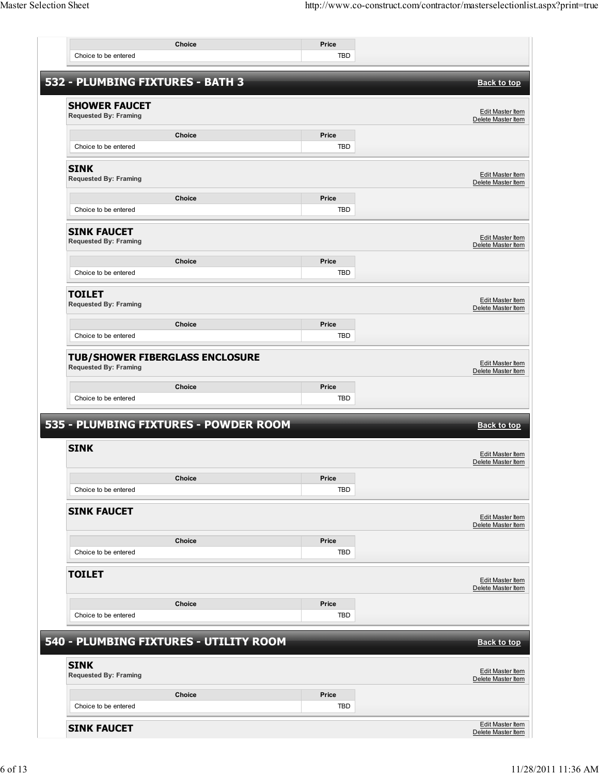|                                                                        | <b>Choice</b>                          | Price      |                                               |
|------------------------------------------------------------------------|----------------------------------------|------------|-----------------------------------------------|
| Choice to be entered                                                   |                                        | TBD        |                                               |
| 532 - PLUMBING FIXTURES - BATH 3                                       |                                        |            | <b>Back to top</b>                            |
|                                                                        |                                        |            |                                               |
| <b>SHOWER FAUCET</b><br><b>Requested By: Framing</b>                   |                                        |            | Edit Master Item<br>Delete Master Item        |
|                                                                        | Choice                                 | Price      |                                               |
| Choice to be entered                                                   |                                        | TBD        |                                               |
| <b>SINK</b><br><b>Requested By: Framing</b>                            |                                        |            | Edit Master Item<br>Delete Master Item        |
|                                                                        | <b>Choice</b>                          | Price      |                                               |
| Choice to be entered                                                   |                                        | <b>TBD</b> |                                               |
| <b>SINK FAUCET</b><br><b>Requested By: Framing</b>                     |                                        |            | <b>Edit Master Item</b><br>Delete Master Item |
|                                                                        | Choice                                 | Price      |                                               |
| Choice to be entered                                                   |                                        | <b>TBD</b> |                                               |
| <b>TOILET</b><br><b>Requested By: Framing</b>                          |                                        |            | Edit Master Item<br>Delete Master Item        |
|                                                                        | Choice                                 | Price      |                                               |
| Choice to be entered                                                   |                                        | TBD        |                                               |
| <b>TUB/SHOWER FIBERGLASS ENCLOSURE</b><br><b>Requested By: Framing</b> |                                        |            | Edit Master Item<br>Delete Master Item        |
|                                                                        | Choice                                 | Price      |                                               |
| Choice to be entered                                                   |                                        | <b>TBD</b> |                                               |
|                                                                        | 535 - PLUMBING FIXTURES - POWDER ROOM  |            | <b>Back to top</b>                            |
|                                                                        |                                        |            |                                               |
| <b>SINK</b>                                                            |                                        |            | Edit Master Item<br>Delete Master Item        |
|                                                                        | Choice                                 | Price      |                                               |
| Choice to be entered                                                   |                                        | <b>TBD</b> |                                               |
| <b>SINK FAUCET</b>                                                     |                                        |            | <b>Edit Master Item</b><br>Delete Master Item |
|                                                                        | <b>Choice</b>                          | Price      |                                               |
| Choice to be entered                                                   |                                        | TBD        |                                               |
| <b>TOILET</b>                                                          |                                        |            | <b>Edit Master Item</b><br>Delete Master Item |
|                                                                        | <b>Choice</b>                          | Price      |                                               |
| Choice to be entered                                                   |                                        | <b>TBD</b> |                                               |
|                                                                        | 540 - PLUMBING FIXTURES - UTILITY ROOM |            | <b>Back to top</b>                            |
| <b>SINK</b><br><b>Requested By: Framing</b>                            |                                        |            | <b>Edit Master Item</b><br>Delete Master Item |
|                                                                        | <b>Choice</b>                          | Price      |                                               |
| Choice to be entered                                                   |                                        | <b>TBD</b> |                                               |
| <b>SINK FAUCET</b>                                                     |                                        |            | <b>Edit Master Item</b><br>Delete Master Item |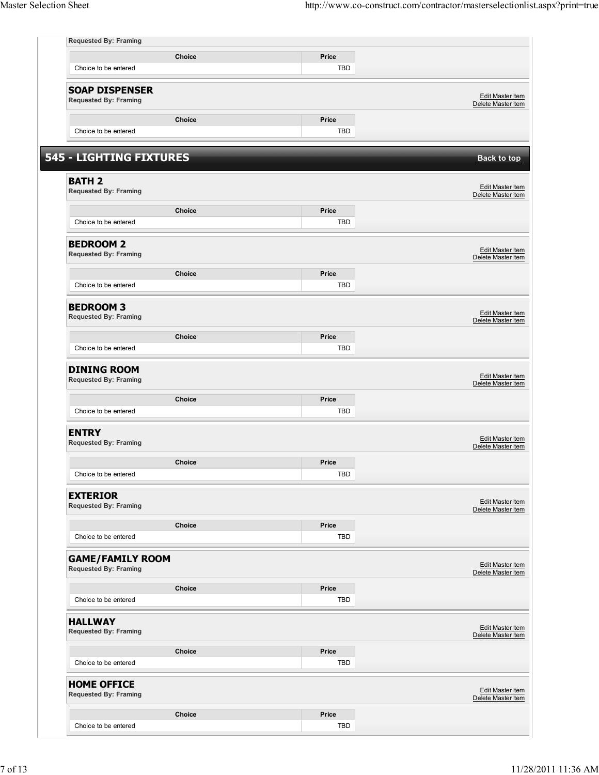| <b>Requested By: Framing</b>                            |               |                     |                                               |
|---------------------------------------------------------|---------------|---------------------|-----------------------------------------------|
|                                                         | Choice        | Price               |                                               |
| Choice to be entered                                    |               | <b>TBD</b>          |                                               |
| <b>SOAP DISPENSER</b><br><b>Requested By: Framing</b>   |               |                     | Edit Master Item                              |
|                                                         |               |                     | Delete Master Item                            |
| Choice to be entered                                    | Choice        | Price<br><b>TBD</b> |                                               |
|                                                         |               |                     |                                               |
| 545 - LIGHTING FIXTURES                                 |               |                     | <b>Back to top</b>                            |
| <b>BATH 2</b><br><b>Requested By: Framing</b>           |               |                     | Edit Master Item<br>Delete Master Item        |
|                                                         | Choice        | Price               |                                               |
| Choice to be entered                                    |               | <b>TBD</b>          |                                               |
| <b>BEDROOM 2</b><br><b>Requested By: Framing</b>        |               |                     | <b>Edit Master Item</b><br>Delete Master Item |
|                                                         | Choice        | Price               |                                               |
| Choice to be entered                                    |               | <b>TBD</b>          |                                               |
| <b>BEDROOM 3</b><br><b>Requested By: Framing</b>        |               |                     | Edit Master Item<br>Delete Master Item        |
|                                                         | Choice        | Price               |                                               |
| Choice to be entered                                    |               | <b>TBD</b>          |                                               |
| <b>DINING ROOM</b><br><b>Requested By: Framing</b>      |               |                     | Edit Master Item<br>Delete Master Item        |
|                                                         | Choice        | Price               |                                               |
| Choice to be entered                                    |               | <b>TBD</b>          |                                               |
| <b>ENTRY</b><br><b>Requested By: Framing</b>            |               |                     | Edit Master Item<br>Delete Master Item        |
|                                                         | <b>Choice</b> | Price               |                                               |
| Choice to be entered                                    |               | <b>TBD</b>          |                                               |
| <b>EXTERIOR</b><br><b>Requested By: Framing</b>         |               |                     | Edit Master Item<br>Delete Master Item        |
|                                                         | Choice        | Price               |                                               |
| Choice to be entered                                    |               | <b>TBD</b>          |                                               |
| <b>GAME/FAMILY ROOM</b><br><b>Requested By: Framing</b> |               |                     | Edit Master Item<br>Delete Master Item        |
|                                                         | Choice        | Price               |                                               |
| Choice to be entered                                    |               | TBD                 |                                               |
| <b>HALLWAY</b><br><b>Requested By: Framing</b>          |               |                     | <b>Edit Master Item</b><br>Delete Master Item |
|                                                         | Choice        | Price               |                                               |
| Choice to be entered                                    |               | <b>TBD</b>          |                                               |
|                                                         |               |                     |                                               |
| <b>HOME OFFICE</b><br><b>Requested By: Framing</b>      |               |                     |                                               |
|                                                         | Choice        | Price               | Edit Master Item<br>Delete Master Item        |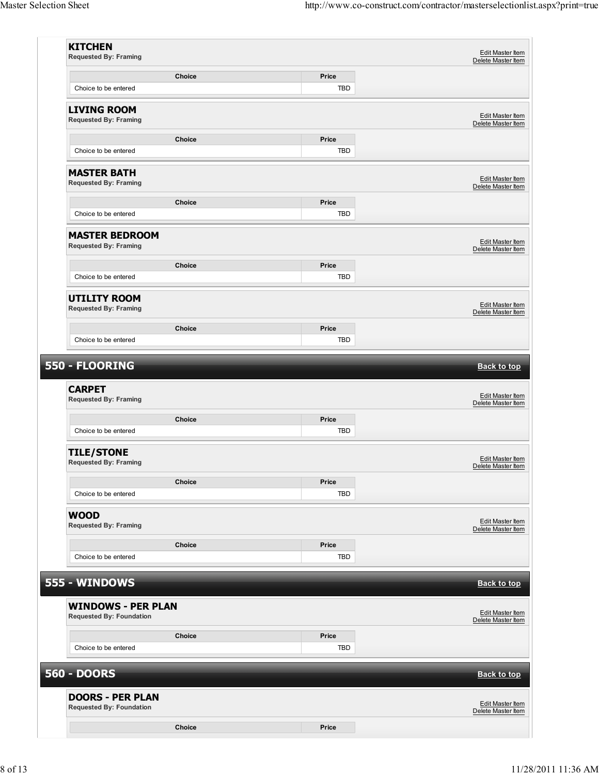| <b>KITCHEN</b><br><b>Requested By: Framing</b>             |               |              | Edit Master Item<br>Delete Master Item |
|------------------------------------------------------------|---------------|--------------|----------------------------------------|
|                                                            | Choice        | Price        |                                        |
| Choice to be entered                                       |               | <b>TBD</b>   |                                        |
|                                                            |               |              |                                        |
| <b>LIVING ROOM</b><br><b>Requested By: Framing</b>         |               |              | Edit Master Item<br>Delete Master Item |
|                                                            | Choice        | Price        |                                        |
| Choice to be entered                                       |               | TBD          |                                        |
| <b>MASTER BATH</b><br><b>Requested By: Framing</b>         |               |              | Edit Master Item<br>Delete Master Item |
|                                                            | Choice        | Price        |                                        |
| Choice to be entered                                       |               | TBD          |                                        |
|                                                            |               |              |                                        |
| <b>MASTER BEDROOM</b><br><b>Requested By: Framing</b>      |               |              | Edit Master Item<br>Delete Master Item |
|                                                            | Choice        | Price        |                                        |
| Choice to be entered                                       |               | TBD          |                                        |
| <b>UTILITY ROOM</b><br><b>Requested By: Framing</b>        |               |              | Edit Master Item<br>Delete Master Item |
|                                                            | Choice        | Price        |                                        |
| Choice to be entered                                       |               | TBD          |                                        |
| <b>CARPET</b><br><b>Requested By: Framing</b>              | Choice        | Price        | Edit Master Item<br>Delete Master Item |
| Choice to be entered                                       |               | TBD          |                                        |
| <b>TILE/STONE</b><br><b>Requested By: Framing</b>          |               |              | Edit Master Item<br>Delete Master Item |
|                                                            | <b>Choice</b> | Price        |                                        |
| Choice to be entered                                       |               | TBD          |                                        |
| <b>WOOD</b><br><b>Requested By: Framing</b>                |               |              | Edit Master Item<br>Delete Master Item |
|                                                            | Choice        | Price        |                                        |
| Choice to be entered                                       |               | TBD          |                                        |
| 555 - WINDOWS                                              |               |              | <b>Back to top</b>                     |
| <b>WINDOWS - PER PLAN</b>                                  |               |              |                                        |
| <b>Requested By: Foundation</b>                            |               |              | Edit Master Item<br>Delete Master Item |
| Choice to be entered                                       | Choice        | Price<br>TBD |                                        |
|                                                            |               |              |                                        |
| <b>560 - DOORS</b>                                         |               |              | <b>Back to top</b>                     |
| <b>DOORS - PER PLAN</b><br><b>Requested By: Foundation</b> |               |              | Edit Master Item<br>Delete Master Item |
|                                                            | Choice        | Price        |                                        |
|                                                            |               |              |                                        |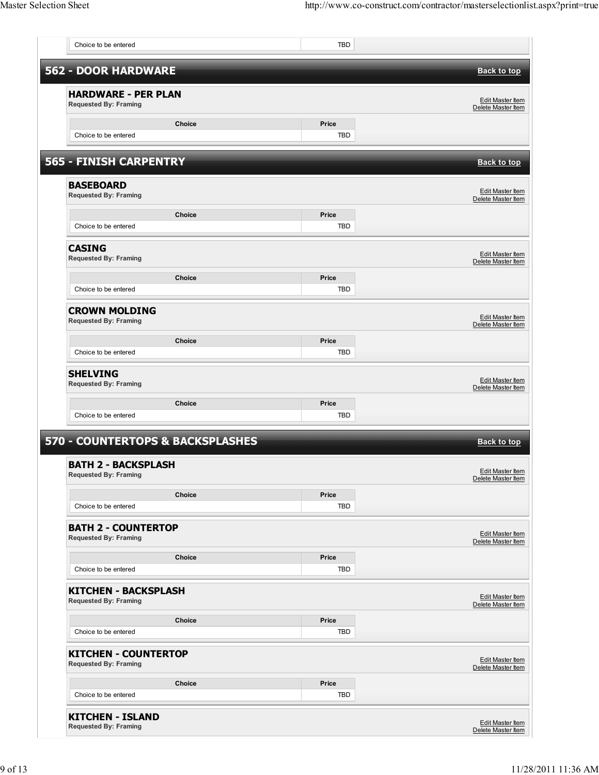|                                                             |               | <b>TBD</b>          |                                                                                                                                                                             |
|-------------------------------------------------------------|---------------|---------------------|-----------------------------------------------------------------------------------------------------------------------------------------------------------------------------|
| <b>562 - DOOR HARDWARE</b>                                  |               |                     | <b>Back to top</b>                                                                                                                                                          |
| <b>HARDWARE - PER PLAN</b><br><b>Requested By: Framing</b>  |               |                     | Edit Master Item<br>Delete Master Item                                                                                                                                      |
| Choice to be entered                                        | Choice        | Price<br><b>TBD</b> |                                                                                                                                                                             |
| <b>565 - FINISH CARPENTRY</b>                               |               |                     | <b>Back to top</b>                                                                                                                                                          |
| <b>BASEBOARD</b><br><b>Requested By: Framing</b>            |               |                     | Edit Master Item<br>Delete Master Item                                                                                                                                      |
| Choice to be entered                                        | Choice        | Price<br><b>TBD</b> |                                                                                                                                                                             |
| <b>CASING</b><br><b>Requested By: Framing</b>               |               |                     | <b>Edit Master Item</b><br>Delete Master Item                                                                                                                               |
| Choice to be entered                                        | Choice        | Price<br><b>TBD</b> |                                                                                                                                                                             |
| <b>CROWN MOLDING</b><br><b>Requested By: Framing</b>        |               |                     | Edit Master Item<br>Delete Master Item                                                                                                                                      |
| Choice to be entered                                        | Choice        | Price<br><b>TBD</b> |                                                                                                                                                                             |
| <b>SHELVING</b><br><b>Requested By: Framing</b>             |               |                     | <b>Edit Master Item</b><br>Delete Master Item                                                                                                                               |
| Choice to be entered                                        | Choice        | Price<br>TBD        |                                                                                                                                                                             |
|                                                             |               |                     | <b>Back to top</b>                                                                                                                                                          |
| <b>570 - COUNTERTOPS &amp; BACKSPLASHES</b>                 |               |                     |                                                                                                                                                                             |
| <b>BATH 2 - BACKSPLASH</b><br><b>Requested By: Framing</b>  |               |                     |                                                                                                                                                                             |
| Choice to be entered                                        | Choice        | Price<br><b>TBD</b> |                                                                                                                                                                             |
| <b>BATH 2 - COUNTERTOP</b><br><b>Requested By: Framing</b>  |               |                     |                                                                                                                                                                             |
| Choice to be entered                                        | Choice        | Price<br><b>TBD</b> |                                                                                                                                                                             |
| <b>KITCHEN - BACKSPLASH</b><br><b>Requested By: Framing</b> |               |                     |                                                                                                                                                                             |
| Choice to be entered                                        | Choice        | Price<br>TBD        |                                                                                                                                                                             |
| <b>KITCHEN - COUNTERTOP</b><br><b>Requested By: Framing</b> |               |                     |                                                                                                                                                                             |
| Choice to be entered                                        | <b>Choice</b> | Price<br><b>TBD</b> | Edit Master Item<br>Delete Master Item<br>Edit Master Item<br>Delete Master Item<br><b>Edit Master Item</b><br>Delete Master Item<br>Edit Master Item<br>Delete Master Item |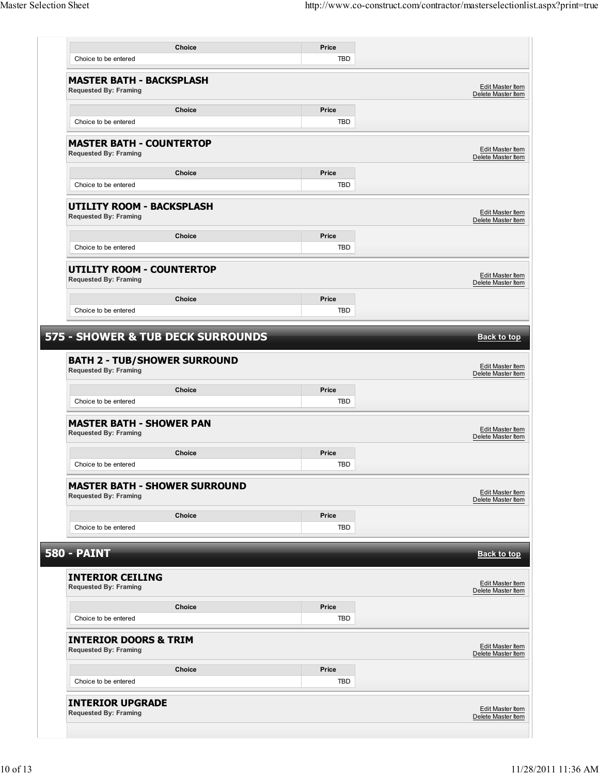|                                                                     | <b>Choice</b>                        | Price        |                                                                                                                                                                                                                                      |
|---------------------------------------------------------------------|--------------------------------------|--------------|--------------------------------------------------------------------------------------------------------------------------------------------------------------------------------------------------------------------------------------|
|                                                                     |                                      |              |                                                                                                                                                                                                                                      |
| Choice to be entered                                                |                                      | TBD          |                                                                                                                                                                                                                                      |
| <b>MASTER BATH - BACKSPLASH</b><br><b>Requested By: Framing</b>     |                                      |              | Edit Master Item<br>Delete Master Item                                                                                                                                                                                               |
|                                                                     | <b>Choice</b>                        | Price        |                                                                                                                                                                                                                                      |
| Choice to be entered                                                |                                      | <b>TBD</b>   |                                                                                                                                                                                                                                      |
| <b>MASTER BATH - COUNTERTOP</b><br><b>Requested By: Framing</b>     |                                      |              | Edit Master Item<br>Delete Master Item                                                                                                                                                                                               |
|                                                                     | Choice                               | Price        |                                                                                                                                                                                                                                      |
| Choice to be entered                                                |                                      | TBD          |                                                                                                                                                                                                                                      |
| <b>UTILITY ROOM - BACKSPLASH</b>                                    |                                      |              |                                                                                                                                                                                                                                      |
| <b>Requested By: Framing</b>                                        |                                      |              | Edit Master Item<br>Delete Master Item                                                                                                                                                                                               |
|                                                                     | Choice                               | Price        |                                                                                                                                                                                                                                      |
| Choice to be entered                                                |                                      | <b>TBD</b>   |                                                                                                                                                                                                                                      |
| <b>UTILITY ROOM - COUNTERTOP</b><br><b>Requested By: Framing</b>    |                                      |              | Edit Master Item<br>Delete Master Item                                                                                                                                                                                               |
|                                                                     | Choice                               | Price        |                                                                                                                                                                                                                                      |
| Choice to be entered                                                |                                      | <b>TBD</b>   |                                                                                                                                                                                                                                      |
|                                                                     |                                      |              |                                                                                                                                                                                                                                      |
|                                                                     |                                      |              |                                                                                                                                                                                                                                      |
| <b>BATH 2 - TUB/SHOWER SURROUND</b><br><b>Requested By: Framing</b> |                                      |              |                                                                                                                                                                                                                                      |
| Choice to be entered                                                | Choice                               | Price<br>TBD |                                                                                                                                                                                                                                      |
| <b>MASTER BATH - SHOWER PAN</b><br><b>Requested By: Framing</b>     |                                      |              |                                                                                                                                                                                                                                      |
|                                                                     | <b>Choice</b>                        | Price        |                                                                                                                                                                                                                                      |
| Choice to be entered                                                |                                      | TBD          |                                                                                                                                                                                                                                      |
| <b>Requested By: Framing</b>                                        | <b>MASTER BATH - SHOWER SURROUND</b> |              |                                                                                                                                                                                                                                      |
|                                                                     | <b>Choice</b>                        | Price        |                                                                                                                                                                                                                                      |
| Choice to be entered                                                |                                      | TBD          |                                                                                                                                                                                                                                      |
|                                                                     |                                      |              |                                                                                                                                                                                                                                      |
| <b>580 - PAINT</b>                                                  |                                      |              |                                                                                                                                                                                                                                      |
| <b>INTERIOR CEILING</b><br><b>Requested By: Framing</b>             |                                      |              |                                                                                                                                                                                                                                      |
|                                                                     | Choice                               | Price        |                                                                                                                                                                                                                                      |
| Choice to be entered                                                |                                      | TBD          |                                                                                                                                                                                                                                      |
| <b>INTERIOR DOORS &amp; TRIM</b><br><b>Requested By: Framing</b>    |                                      |              |                                                                                                                                                                                                                                      |
|                                                                     | <b>Choice</b>                        | Price        |                                                                                                                                                                                                                                      |
| Choice to be entered                                                |                                      | TBD          | Edit Master Item<br>Delete Master Item<br>Edit Master Item<br>Delete Master Item<br>Edit Master Item<br>Delete Master Item<br><b>Back to top</b><br>Edit Master Item<br>Delete Master Item<br>Edit Master Item<br>Delete Master Item |
| <b>INTERIOR UPGRADE</b>                                             |                                      |              | Edit Master Item                                                                                                                                                                                                                     |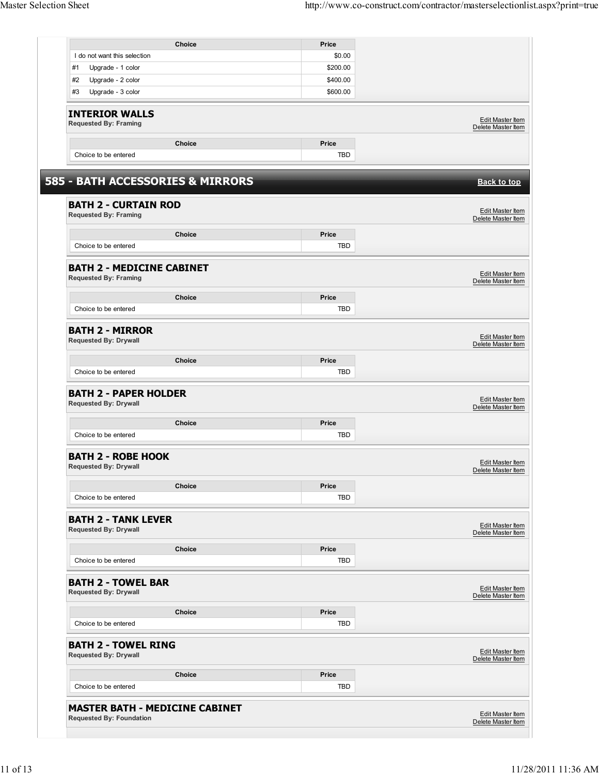| I do not want this selection                                     |                                  | Price        |                                                                                                                                                                                                                       |
|------------------------------------------------------------------|----------------------------------|--------------|-----------------------------------------------------------------------------------------------------------------------------------------------------------------------------------------------------------------------|
|                                                                  |                                  | \$0.00       |                                                                                                                                                                                                                       |
| #1<br>Upgrade - 1 color                                          |                                  | \$200.00     |                                                                                                                                                                                                                       |
| #2<br>Upgrade - 2 color                                          |                                  | \$400.00     |                                                                                                                                                                                                                       |
| Upgrade - 3 color<br>#3                                          |                                  | \$600.00     |                                                                                                                                                                                                                       |
|                                                                  |                                  |              |                                                                                                                                                                                                                       |
| <b>INTERIOR WALLS</b><br><b>Requested By: Framing</b>            |                                  |              | Edit Master Item                                                                                                                                                                                                      |
|                                                                  |                                  |              | Delete Master Item                                                                                                                                                                                                    |
|                                                                  | <b>Choice</b>                    | Price        |                                                                                                                                                                                                                       |
| Choice to be entered                                             |                                  | TBD          |                                                                                                                                                                                                                       |
|                                                                  | 585 - BATH ACCESSORIES & MIRRORS |              | <b>Back to top</b>                                                                                                                                                                                                    |
|                                                                  |                                  |              |                                                                                                                                                                                                                       |
| <b>BATH 2 - CURTAIN ROD</b><br><b>Requested By: Framing</b>      |                                  |              | Edit Master Item<br>Delete Master Item                                                                                                                                                                                |
|                                                                  | <b>Choice</b>                    | Price        |                                                                                                                                                                                                                       |
| Choice to be entered                                             |                                  | TBD          |                                                                                                                                                                                                                       |
|                                                                  |                                  |              |                                                                                                                                                                                                                       |
| <b>BATH 2 - MEDICINE CABINET</b><br><b>Requested By: Framing</b> |                                  |              | Edit Master Item<br>Delete Master Item                                                                                                                                                                                |
|                                                                  | Choice                           | Price        |                                                                                                                                                                                                                       |
| Choice to be entered                                             |                                  | TBD          |                                                                                                                                                                                                                       |
|                                                                  |                                  |              |                                                                                                                                                                                                                       |
| <b>BATH 2 - MIRROR</b><br><b>Requested By: Drywall</b>           |                                  |              | Edit Master Item<br>Delete Master Item                                                                                                                                                                                |
|                                                                  | <b>Choice</b>                    | Price        |                                                                                                                                                                                                                       |
| Choice to be entered                                             |                                  | <b>TBD</b>   |                                                                                                                                                                                                                       |
|                                                                  |                                  |              |                                                                                                                                                                                                                       |
| <b>BATH 2 - PAPER HOLDER</b><br><b>Requested By: Drywall</b>     |                                  |              |                                                                                                                                                                                                                       |
|                                                                  | <b>Choice</b>                    | Price        |                                                                                                                                                                                                                       |
| Choice to be entered                                             |                                  | TBD          |                                                                                                                                                                                                                       |
|                                                                  |                                  |              |                                                                                                                                                                                                                       |
| <b>BATH 2 - ROBE HOOK</b><br><b>Requested By: Drywall</b>        |                                  |              |                                                                                                                                                                                                                       |
|                                                                  | <b>Choice</b>                    | Price        |                                                                                                                                                                                                                       |
| Choice to be entered                                             |                                  | TBD          |                                                                                                                                                                                                                       |
|                                                                  |                                  |              |                                                                                                                                                                                                                       |
| <b>BATH 2 - TANK LEVER</b><br><b>Requested By: Drywall</b>       |                                  |              |                                                                                                                                                                                                                       |
|                                                                  | Choice                           | Price        |                                                                                                                                                                                                                       |
| Choice to be entered                                             |                                  | TBD          |                                                                                                                                                                                                                       |
|                                                                  |                                  |              |                                                                                                                                                                                                                       |
| <b>BATH 2 - TOWEL BAR</b><br><b>Requested By: Drywall</b>        |                                  |              |                                                                                                                                                                                                                       |
|                                                                  |                                  |              |                                                                                                                                                                                                                       |
| Choice to be entered                                             | Choice                           | Price<br>TBD |                                                                                                                                                                                                                       |
|                                                                  |                                  |              |                                                                                                                                                                                                                       |
| <b>BATH 2 - TOWEL RING</b><br><b>Requested By: Drywall</b>       |                                  |              |                                                                                                                                                                                                                       |
|                                                                  |                                  |              |                                                                                                                                                                                                                       |
|                                                                  | Choice                           | Price        |                                                                                                                                                                                                                       |
| Choice to be entered                                             |                                  | TBD          | Edit Master Item<br>Delete Master Item<br><b>Edit Master Item</b><br>Delete Master Item<br>Edit Master Item<br>Delete Master Item<br>Edit Master Item<br>Delete Master Item<br>Edit Master Item<br>Delete Master Item |
| <b>MASTER BATH - MEDICINE CABINET</b>                            |                                  |              | Edit Master Item                                                                                                                                                                                                      |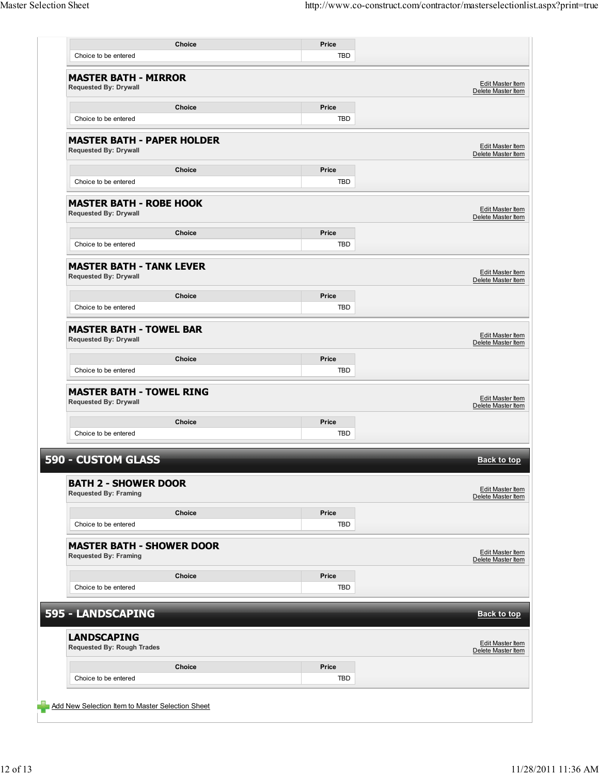| Choice to be entered                                              |        | TBD        |                                               |
|-------------------------------------------------------------------|--------|------------|-----------------------------------------------|
|                                                                   |        |            |                                               |
| <b>MASTER BATH - MIRROR</b><br><b>Requested By: Drywall</b>       |        |            | Edit Master Item<br>Delete Master Item        |
|                                                                   | Choice | Price      |                                               |
| Choice to be entered                                              |        | TBD        |                                               |
| <b>MASTER BATH - PAPER HOLDER</b><br><b>Requested By: Drywall</b> |        |            | Edit Master Item<br>Delete Master Item        |
|                                                                   | Choice | Price      |                                               |
| Choice to be entered                                              |        | TBD        |                                               |
| <b>MASTER BATH - ROBE HOOK</b><br><b>Requested By: Drywall</b>    |        |            | Edit Master Item<br>Delete Master Item        |
|                                                                   | Choice | Price      |                                               |
| Choice to be entered                                              |        | TBD        |                                               |
| <b>MASTER BATH - TANK LEVER</b><br><b>Requested By: Drywall</b>   |        |            | Edit Master Item<br>Delete Master Item        |
|                                                                   | Choice | Price      |                                               |
| Choice to be entered                                              |        | TBD        |                                               |
| <b>MASTER BATH - TOWEL BAR</b><br><b>Requested By: Drywall</b>    |        |            | Edit Master Item<br>Delete Master Item        |
|                                                                   | Choice | Price      |                                               |
| Choice to be entered                                              |        | TBD        |                                               |
| <b>MASTER BATH - TOWEL RING</b><br><b>Requested By: Drywall</b>   |        |            | <b>Edit Master Item</b><br>Delete Master Item |
|                                                                   | Choice | Price      |                                               |
| Choice to be entered                                              |        | TBD        |                                               |
| <b>590 - CUSTOM GLASS</b>                                         |        |            | <b>Back to top</b>                            |
| <b>BATH 2 - SHOWER DOOR</b><br><b>Requested By: Framing</b>       |        |            | <b>Edit Master Item</b><br>Delete Master Item |
|                                                                   | Choice | Price      |                                               |
| Choice to be entered                                              |        | TBD        |                                               |
| <b>MASTER BATH - SHOWER DOOR</b><br><b>Requested By: Framing</b>  |        |            | <b>Edit Master Item</b><br>Delete Master Item |
|                                                                   | Choice | Price      |                                               |
| Choice to be entered                                              |        | <b>TBD</b> |                                               |
| 595 - LANDSCAPING                                                 |        |            | <b>Back to top</b>                            |
| <b>LANDSCAPING</b><br><b>Requested By: Rough Trades</b>           |        |            | Edit Master Item<br>Delete Master Item        |
|                                                                   |        | Price      |                                               |
|                                                                   | Choice |            |                                               |
| Choice to be entered                                              |        | <b>TBD</b> |                                               |

 $\Box$